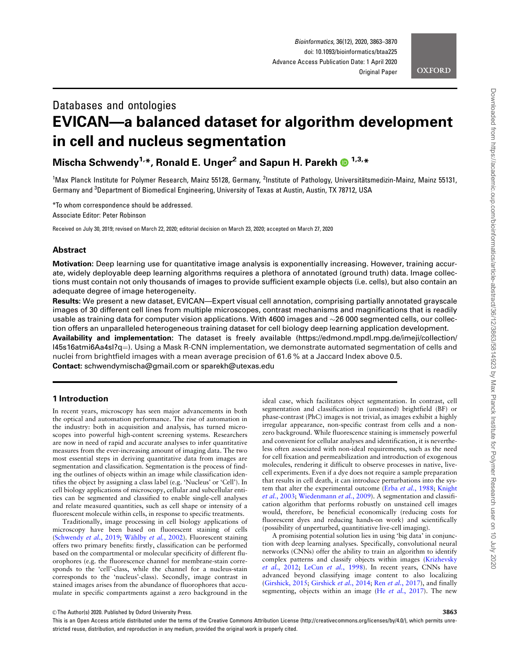# **OXFORD**

# Databases and ontologies EVICAN—a balanced dataset for algorithm development in cell and nucleus segmentation

Mischa Schwendy<sup>1,\*</sup>, Ronald E. Unger<sup>2</sup> and Sapun H. Parekh  $\bullet$ <sup>1,3,\*</sup>

<sup>1</sup>Max Planck Institute for Polymer Research, Mainz 55128, Germany, <sup>2</sup>Institute of Pathology, Universitätsmedizin-Mainz, Mainz 55131, Germany and <sup>3</sup>Department of Biomedical Engineering, University of Texas at Austin, Austin, TX 78712, USA

\*To whom correspondence should be addressed.

Associate Editor: Peter Robinson

Received on July 30, 2019; revised on March 22, 2020; editorial decision on March 23, 2020; accepted on March 27, 2020

# Abstract

Motivation: Deep learning use for quantitative image analysis is exponentially increasing. However, training accurate, widely deployable deep learning algorithms requires a plethora of annotated (ground truth) data. Image collections must contain not only thousands of images to provide sufficient example objects (i.e. cells), but also contain an adequate degree of image heterogeneity.

Results: We present a new dataset, EVICAN—Expert visual cell annotation, comprising partially annotated grayscale images of 30 different cell lines from multiple microscopes, contrast mechanisms and magnifications that is readily usable as training data for computer vision applications. With 4600 images and  $\sim$ 26 000 segmented cells, our collection offers an unparalleled heterogeneous training dataset for cell biology deep learning application development. Availability and implementation: The dataset is freely available [\(https://edmond.mpdl.mpg.de/imeji/collection/](https://edmond.mpdl.mpg.de/imeji/collection/l45s16atmi6Aa4sI?q=) l45s16atmi6Aa4sl?q=). Using a Mask R-CNN implementation, we demonstrate automated segmentation of cells and nuclei from brightfield images with a mean average precision of 61.6 % at a Jaccard Index above 0.5. Contact: schwendymischa@gmail.com or sparekh@utexas.edu

# 1 Introduction

In recent years, microscopy has seen major advancements in both the optical and automation performance. The rise of automation in the industry: both in acquisition and analysis, has turned microscopes into powerful high-content screening systems. Researchers are now in need of rapid and accurate analyses to infer quantitative measures from the ever-increasing amount of imaging data. The two most essential steps in deriving quantitative data from images are segmentation and classification. Segmentation is the process of finding the outlines of objects within an image while classification identifies the object by assigning a class label (e.g. 'Nucleus' or 'Cell'). In cell biology applications of microscopy, cellular and subcellular entities can be segmented and classified to enable single-cell analyses and relate measured quantities, such as cell shape or intensity of a fluorescent molecule within cells, in response to specific treatments.

Traditionally, image processing in cell biology applications of microscopy have been based on fluorescent staining of cells ([Schwendy](#page-7-0) et al., 2019; Wählby et al., 2002). Fluorescent staining offers two primary benefits: firstly, classification can be performed based on the compartmental or molecular specificity of different fluorophores (e.g. the fluorescence channel for membrane-stain corresponds to the 'cell'-class, while the channel for a nucleus-stain corresponds to the 'nucleus'-class). Secondly, image contrast in stained images arises from the abundance of fluorophores that accumulate in specific compartments against a zero background in the

ideal case, which facilitates object segmentation. In contrast, cell segmentation and classification in (unstained) brightfield (BF) or phase-contrast (PhC) images is not trivial, as images exhibit a highly irregular appearance, non-specific contrast from cells and a nonzero background. While fluorescence staining is immensely powerful and convenient for cellular analyses and identification, it is nevertheless often associated with non-ideal requirements, such as the need for cell fixation and permeabilization and introduction of exogenous molecules, rendering it difficult to observe processes in native, livecell experiments. Even if a dye does not require a sample preparation that results in cell death, it can introduce perturbations into the sys-tem that alter the experimental outcome (Erba et al.[, 1988;](#page-6-0) [Knight](#page-6-0) et al.[, 2003](#page-6-0); [Wiedenmann](#page-7-0) et al., 2009). A segmentation and classification algorithm that performs robustly on unstained cell images would, therefore, be beneficial economically (reducing costs for fluorescent dyes and reducing hands-on work) and scientifically (possibility of unperturbed, quantitiative live-cell imaging).

A promising potential solution lies in using 'big data' in conjunction with deep learning analyses. Specifically, convolutional neural networks (CNNs) offer the ability to train an algorithm to identify complex patterns and classify objects within images [\(Krizhevsky](#page-6-0) et al.[, 2012;](#page-6-0) LeCun et al.[, 1998](#page-6-0)). In recent years, CNNs have advanced beyond classifying image content to also localizing ([Girshick, 2015](#page-6-0); [Girshick](#page-6-0) et al., 2014; Ren et al.[, 2017\)](#page-7-0), and finally segmenting, objects within an image (He et al.[, 2017](#page-6-0)). The new

 $\oslash$  The Author(s) 2020. Published by Oxford University Press.  $3863$ 

This is an Open Access article distributed under the terms of the Creative Commons Attribution License (http://creativecommons.org/licenses/by/4.0/), which permits unrestricted reuse, distribution, and reproduction in any medium, provided the original work is properly cited.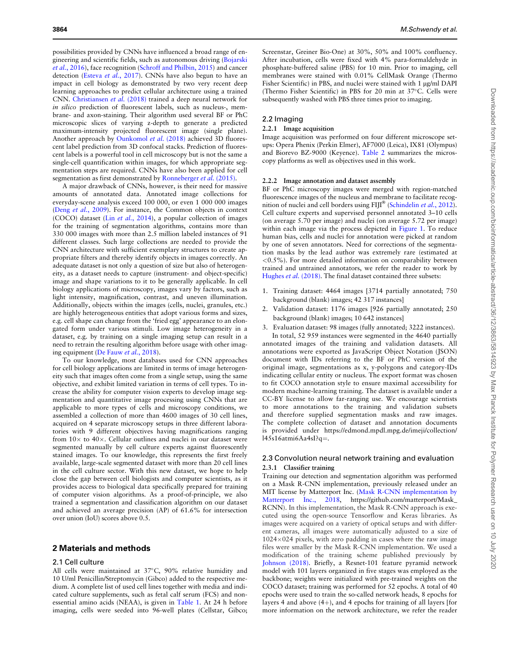possibilities provided by CNNs have influenced a broad range of engineering and scientific fields, such as autonomous driving ([Bojarski](#page-6-0) et al.[, 2016\)](#page-6-0), face recognition ([Schroff and Philbin, 2015\)](#page-7-0) and cancer detection (Esteva et al.[, 2017\)](#page-6-0). CNNs have also begun to have an impact in cell biology as demonstrated by two very recent deep learning approaches to predict cellular architecture using a trained CNN. [Christiansen](#page-6-0) et al. (2018) trained a deep neural network for in silico prediction of fluorescent labels, such as nucleus-, membrane- and axon-staining. Their algorithm used several BF or PhC microscopic slices of varying z-depth to generate a predicted maximum-intensity projected fluorescent image (single plane). Another approach by [Ounkomol](#page-7-0) et al. (2018) achieved 3D fluorescent label prediction from 3D confocal stacks. Prediction of fluorescent labels is a powerful tool in cell microscopy but is not the same a single-cell quantification within images, for which appropriate segmentation steps are required. CNNs have also been applied for cell segmentation as first demonstrated by [Ronneberger](#page-7-0) et al. (2015).

A major drawback of CNNs, however, is their need for massive amounts of annotated data. Annotated image collections for everyday-scene analysis exceed 100 000, or even 1 000 000 images (Deng et al.[, 2009](#page-6-0)). For instance, the Common objects in context (COCO) dataset (Lin et al.[, 2014\)](#page-6-0), a popular collection of images for the training of segmentation algorithms, contains more than 330 000 images with more than 2.5 million labeled instances of 91 different classes. Such large collections are needed to provide the CNN architecture with sufficient exemplary structures to create appropriate filters and thereby identify objects in images correctly. An adequate dataset is not only a question of size but also of heterogeneity, as a dataset needs to capture (instrument- and object-specific) image and shape variations to it to be generally applicable. In cell biology applications of microscopy, images vary by factors, such as light intensity, magnification, contrast, and uneven illumination. Additionally, objects within the images (cells, nuclei, granules, etc.) are highly heterogeneous entities that adopt various forms and sizes, e.g. cell shape can change from the 'fried egg' appearance to an elongated form under various stimuli. Low image heterogeneity in a dataset, e.g. by training on a single imaging setup can result in a need to retrain the resulting algorithm before usage with other imaging equipment ([De Fauw](#page-6-0) et al., 2018).

To our knowledge, most databases used for CNN approaches for cell biology applications are limited in terms of image heterogeneity such that images often come from a single setup, using the same objective, and exhibit limited variation in terms of cell types. To increase the ability for computer vision experts to develop image segmentation and quantitative image processing using CNNs that are applicable to more types of cells and microscopy conditions, we assembled a collection of more than 4600 images of 30 cell lines, acquired on 4 separate microscopy setups in three different laboratories with 9 different objectives having magnifications ranging from  $10\times$  to  $40\times$ . Cellular outlines and nuclei in our dataset were segmented manually by cell culture experts against fluorescently stained images. To our knowledge, this represents the first freely available, large-scale segmented dataset with more than 20 cell lines in the cell culture sector. With this new dataset, we hope to help close the gap between cell biologists and computer scientists, as it provides access to biological data specifically prepared for training of computer vision algorithms. As a proof-of-principle, we also trained a segmentation and classification algorithm on our dataset and achieved an average precision (AP) of 61.6% for intersection over union (IoU) scores above 0.5.

# 2 Materials and methods

#### 2.1 Cell culture

All cells were maintained at 37°C, 90% relative humidity and 10 U/ml Penicillin/Streptomycin (Gibco) added to the respective medium. A complete list of used cell lines together with media and indicated culture supplements, such as fetal calf serum (FCS) and nonessential amino acids (NEAA), is given in [Table 1.](#page-2-0) At 24 h before imaging, cells were seeded into 96-well plates (Cellstar, Gibco;

Screenstar, Greiner Bio-One) at 30%, 50% and 100% confluency. After incubation, cells were fixed with 4% para-formaldehyde in phosphate-buffered saline (PBS) for 10 min. Prior to imaging, cell membranes were stained with 0.01% CellMask Orange (Thermo Fisher Scientific) in PBS, and nuclei were stained with 1 ug/ml DAPI (Thermo Fisher Scientific) in PBS for 20 min at  $37^{\circ}$ C. Cells were subsequently washed with PBS three times prior to imaging.

#### 2.2 Imaging

#### 2.2.1 Image acquisition

Image acquisition was performed on four different microscope setups: Opera Phenix (Perkin Elmer), AF7000 (Leica), IX81 (Olympus) and Biorevo BZ-9000 (Keyence). [Table 2](#page-2-0) summarizes the microscopy platforms as well as objectives used in this work.

#### 2.2.2 Image annotation and dataset assembly

BF or PhC microscopy images were merged with region-matched fluorescence images of the nucleus and membrane to facilitate recog-nition of nuclei and cell borders using FIJI® ([Schindelin](#page-7-0) et al., 2012). Cell culture experts and supervised personnel annotated 3–10 cells (on average 5.70 per image) and nuclei (on average 5.72 per image) within each image via the process depicted in [Figure 1](#page-3-0). To reduce human bias, cells and nuclei for annotation were picked at random by one of seven annotators. Need for corrections of the segmentation masks by the lead author was extremely rare (estimated at  $\langle 0.5\% \rangle$ . For more detailed information on comparability between trained and untrained annotators, we refer the reader to work by [Hughes](#page-6-0) et al. (2018). The final dataset contained three subsets:

- 1. Training dataset: 4464 images [3714 partially annotated; 750 background (blank) images; 42 317 instances]
- 2. Validation dataset: 1176 images [926 partially annotated; 250 background (blank) images; 10 642 instances]
- 3. Evaluation dataset: 98 images (fully annotated; 3222 instances). In total, 52 959 instances were segmented in the 4640 partially annotated images of the training and validation datasets. All annotations were exported as JavaScript Object Notation (JSON) document with IDs referring to the BF or PhC version of the original image, segmentations as x, y-polygons and category-IDs indicating cellular entity or nucleus. The export format was chosen to fit COCO annotation style to ensure maximal accessibility for modern machine-learning training. The dataset is available under a CC-BY license to allow far-ranging use. We encourage scientists to more annotations to the training and validation subsets and therefore supplied segmentation masks and raw images. The complete collection of dataset and annotation documents is provided under https://edmond.mpdl.mpg.de/imeji/collection/  $145s16atmi6Aa4sI?q=$ .

## 2.3 Convolution neural network training and evaluation 2.3.1 Classifier training

Training our detection and segmentation algorithm was performed on a Mask R-CNN implementation, previously released under an MIT license by Matterport Inc. ([Mask R-CNN implementation by](#page-7-0) [Matterport Inc., 2018](#page-7-0), [https://github.com/matterport/Mask\\_](https://github.com/matterport/Mask_RCNN) [RCNN\)](https://github.com/matterport/Mask_RCNN). In this implementation, the Mask R-CNN approach is executed using the open-source Tensorflow and Keras libraries. As images were acquired on a variety of optical setups and with different cameras, all images were automatically adjusted to a size of  $1024\times024$  pixels, with zero padding in cases where the raw image files were smaller by the Mask R-CNN implementation. We used a modification of the training scheme published previously by [Johnson \(2018\).](#page-6-0) Briefly, a Resnet-101 feature pyramid network model with 101 layers organized in five stages was employed as the backbone; weights were initialized with pre-trained weights on the COCO dataset; training was performed for 52 epochs. A total of 40 epochs were used to train the so-called network heads, 8 epochs for layers 4 and above  $(4+)$ , and 4 epochs for training of all layers [for more information on the network architecture, we refer the reader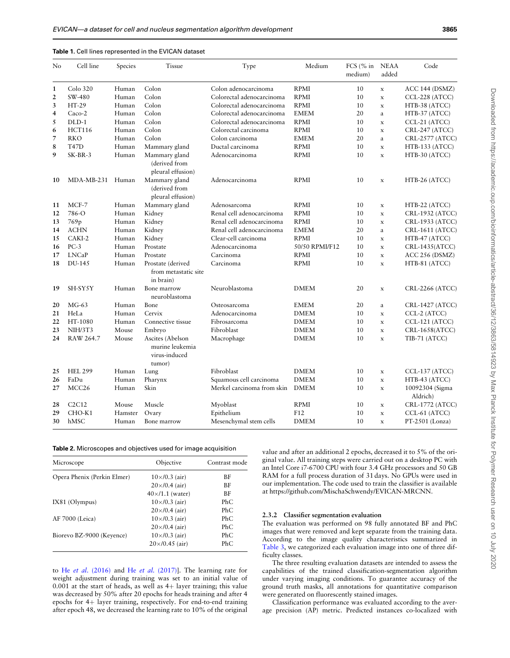<span id="page-2-0"></span>

| Table 1. Cell lines represented in the EVICAN dataset |  |
|-------------------------------------------------------|--|
|-------------------------------------------------------|--|

| No | Cell line         | Species | <b>Tissue</b>                                                  | Type                       | Medium         | FCS $(\%$ in<br>medium) | <b>NEAA</b><br>added | Code                        |
|----|-------------------|---------|----------------------------------------------------------------|----------------------------|----------------|-------------------------|----------------------|-----------------------------|
| 1  | Colo 320          | Human   | Colon                                                          | Colon adenocarcinoma       | <b>RPMI</b>    | 10                      | $\mathbf x$          | ACC 144 (DSMZ)              |
| 2  | SW-480            | Human   | Colon                                                          | Colorectal adenocarcinoma  | <b>RPMI</b>    | 10                      | $\mathbf x$          | CCL-228 (ATCC)              |
| 3  | HT-29             | Human   | Colon                                                          | Colorectal adenocarcinoma  | <b>RPMI</b>    | 10                      | $\mathbf x$          | HTB-38 (ATCC)               |
| 4  | Caco-2            | Human   | Colon                                                          | Colorectal adenocarcinoma  | <b>EMEM</b>    | 20                      | a                    | HTB-37 (ATCC)               |
| 5  | DLD-1             | Human   | Colon                                                          | Colorectal adenocarcinoma  | <b>RPMI</b>    | 10                      | $\mathbf x$          | CCL-21 (ATCC)               |
| 6  | <b>HCT116</b>     | Human   | Colon                                                          | Colorectal carcinoma       | <b>RPMI</b>    | 10                      | $\mathbf x$          | CRL-247 (ATCC)              |
| 7  | <b>RKO</b>        | Human   | Colon                                                          | Colon carcinoma            | <b>EMEM</b>    | 20                      | $\mathbf{a}$         | CRL-2577 (ATCC)             |
| 8  | <b>T47D</b>       | Human   | Mammary gland                                                  | Ductal carcinoma           | <b>RPMI</b>    | 10                      | $\mathbf{x}$         | $HTB-133$ (ATCC)            |
| 9  | SK-BR-3           | Human   | Mammary gland<br>(derived from<br>pleural effusion)            | Adenocarcinoma             | <b>RPMI</b>    | 10                      | $\mathbf x$          | HTB-30 (ATCC)               |
| 10 | MDA-MB-231 Human  |         | Mammary gland<br>(derived from<br>pleural effusion)            | Adenocarcinoma             | <b>RPMI</b>    | 10                      | $\mathbf x$          | HTB-26 (ATCC)               |
| 11 | MCF-7             | Human   | Mammary gland                                                  | Adenosarcoma               | <b>RPMI</b>    | 10                      | $\mathbf x$          | HTB-22 (ATCC)               |
| 12 | 786-O             | Human   | Kidney                                                         | Renal cell adenocarcinoma  | <b>RPMI</b>    | 10                      | $\mathbf x$          | CRL-1932 (ATCC)             |
| 13 | 769 <sub>p</sub>  | Human   | Kidney                                                         | Renal cell adenocarcinoma  | <b>RPMI</b>    | 10                      | $\mathbf x$          | CRL-1933 (ATCC)             |
| 14 | <b>ACHN</b>       | Human   | Kidney                                                         | Renal cell adenocarcinoma  | <b>EMEM</b>    | 20                      | a                    | CRL-1611 (ATCC)             |
| 15 | CAKI-2            | Human   | Kidney                                                         | Clear-cell carcinoma       | <b>RPMI</b>    | 10                      | $\mathbf x$          | HTB-47 (ATCC)               |
| 16 | $PC-3$            | Human   | Prostate                                                       | Adenocarcinoma             | 50/50 RPMI/F12 | 10                      | $\mathbf x$          | $CRL-1435(ATCC)$            |
| 17 | <b>LNCaP</b>      | Human   | Prostate                                                       | Carcinoma                  | <b>RPMI</b>    | 10                      | $\mathbf x$          | ACC 256 (DSMZ)              |
| 18 | DU-145            | Human   | Prostate (derived<br>from metastatic site<br>in brain)         | Carcinoma                  | <b>RPMI</b>    | 10                      | $\mathbf{x}$         | HTB-81 (ATCC)               |
| 19 | SH-SY5Y           | Human   | Bone marrow<br>neuroblastoma                                   | Neuroblastoma              | <b>DMEM</b>    | 20                      | $\mathbf x$          | <b>CRL-2266 (ATCC)</b>      |
| 20 | $MG-63$           | Human   | Bone                                                           | Osteosarcoma               | <b>EMEM</b>    | 20                      | a                    | CRL-1427 (ATCC)             |
| 21 | HeLa              | Human   | Cervix                                                         | Adenocarcinoma             | <b>DMEM</b>    | 10                      | $\mathbf x$          | CCL-2 (ATCC)                |
| 22 | HT-1080           | Human   | Connective tissue                                              | Fibrosarcoma               | <b>DMEM</b>    | 10                      | $\mathbf x$          | CCL-121 (ATCC)              |
| 23 | NIH/3T3           | Mouse   | Embryo                                                         | Fibroblast                 | <b>DMEM</b>    | 10                      | $\mathbf x$          | $CRL-1658(ATCC)$            |
| 24 | RAW 264.7         | Mouse   | Ascites (Abelson<br>murine leukemia<br>virus-induced<br>tumor) | Macrophage                 | <b>DMEM</b>    | 10                      | $\mathbf x$          | TIB-71 (ATCC)               |
| 25 | <b>HEL 299</b>    | Human   | Lung                                                           | Fibroblast                 | <b>DMEM</b>    | 10                      | $\mathbf x$          | CCL-137 (ATCC)              |
| 26 | FaDu              | Human   | Pharynx                                                        | Squamous cell carcinoma    | <b>DMEM</b>    | 10                      | $\mathbf x$          | HTB-43 (ATCC)               |
| 27 | MCC <sub>26</sub> | Human   | Skin                                                           | Merkel carcinoma from skin | <b>DMEM</b>    | 10                      | $\mathbf x$          | 10092304 (Sigma<br>Aldrich) |
| 28 | C2C12             | Mouse   | Muscle                                                         | Myoblast                   | <b>RPMI</b>    | 10                      | $\mathbf x$          | CRL-1772 (ATCC)             |
| 29 | CHO-K1            | Hamster | Ovary                                                          | Epithelium                 | F12            | 10                      | $\mathbf x$          | CCL-61 (ATCC)               |
| 30 | hMSC              | Human   | Bone marrow                                                    | Mesenchymal stem cells     | <b>DMEM</b>    | 10                      | $\mathbf x$          | $PT-2501$ (Lonza)           |

|  |  | <b>Table 2.</b> Microscopes and objectives used for image acquisition |  |  |
|--|--|-----------------------------------------------------------------------|--|--|
|  |  |                                                                       |  |  |
|  |  |                                                                       |  |  |
|  |  |                                                                       |  |  |

| Microscope                  | Objective               | Contrast mode |
|-----------------------------|-------------------------|---------------|
| Opera Phenix (Perkin Elmer) | $10\times/0.3$ (air)    | ВF            |
|                             | $20 \times 70.4$ (air)  | ВF            |
|                             | $40\times/1.1$ (water)  | ВF            |
| $IX81$ (Olympus)            | $10\times/0.3$ (air)    | PhC           |
|                             | $20 \times 70.4$ (air)  | PhC           |
| AF 7000 (Leica)             | $10\times/0.3$ (air)    | PhC           |
|                             | $20 \times 70.4$ (air)  | PhC           |
| Biorevo BZ-9000 (Keyence)   | $10\times/0.3$ (air)    | PhC           |
|                             | $20 \times 70.45$ (air) | PhC           |

to He et al[. \(2016\)](#page-6-0) and He et al. [\(2017\)\]](#page-6-0). The learning rate for weight adjustment during training was set to an initial value of  $0.001$  at the start of heads, as well as  $4+$  layer training; this value was decreased by 50% after 20 epochs for heads training and after 4 epochs for  $4+$  layer training, respectively. For end-to-end training after epoch 48, we decreased the learning rate to 10% of the original value and after an additional 2 epochs, decreased it to 5% of the original value. All training steps were carried out on a desktop PC with an Intel Core i7-6700 CPU with four 3.4 GHz processors and 50 GB RAM for a full process duration of 31 days. No GPUs were used in our implementation. The code used to train the classifier is available at [https://github.com/MischaSchwendy/EVICAN-MRCNN.](https://github.com/MischaSchwendy/EVICAN-MRCNN)

#### 2.3.2 Classifier segmentation evaluation

The evaluation was performed on 98 fully annotated BF and PhC images that were removed and kept separate from the training data. According to the image quality characteristics summarized in [Table 3](#page-3-0), we categorized each evaluation image into one of three difficulty classes.

The three resulting evaluation datasets are intended to assess the capabilities of the trained classification-segmentation algorithm under varying imaging conditions. To guarantee accuracy of the ground truth masks, all annotations for quantitative comparison were generated on fluorescently stained images.

Classification performance was evaluated according to the average precision (AP) metric. Predicted instances co-localized with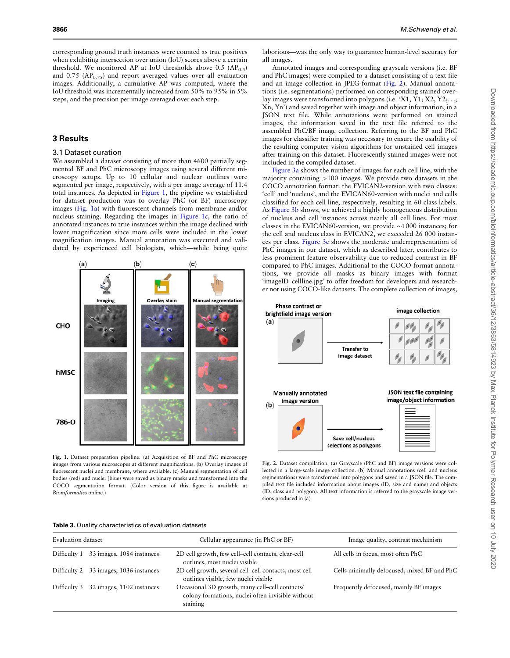<span id="page-3-0"></span>corresponding ground truth instances were counted as true positives when exhibiting intersection over union (IoU) scores above a certain threshold. We monitored AP at IoU thresholds above 0.5  $AP_{0.5}$ ) and  $0.75$  (AP<sub>0.75</sub>) and report averaged values over all evaluation images. Additionally, a cumulative AP was computed, where the IoU threshold was incrementally increased from 50% to 95% in 5% steps, and the precision per image averaged over each step.

# 3 Results

#### 3.1 Dataset curation

We assembled a dataset consisting of more than 4600 partially segmented BF and PhC microscopy images using several different microscopy setups. Up to 10 cellular and nuclear outlines were segmented per image, respectively, with a per image average of 11.4 total instances. As depicted in Figure 1, the pipeline we established for dataset production was to overlay PhC (or BF) microscopy images (Fig. 1a) with fluorescent channels from membrane and/or nucleus staining. Regarding the images in Figure 1c, the ratio of annotated instances to true instances within the image declined with lower magnification since more cells were included in the lower magnification images. Manual annotation was executed and validated by experienced cell biologists, which—while being quite



Fig. 1. Dataset preparation pipeline. (a) Acquisition of BF and PhC microscopy images from various microscopes at different magnifications. (b) Overlay images of fluorescent nuclei and membrane, where available. (c) Manual segmentation of cell bodies (red) and nuclei (blue) were saved as binary masks and transformed into the COCO segmentation format. (Color version of this figure is available at Bioinformatics online.)

| Table 3. Quality characteristics of evaluation datasets |  |
|---------------------------------------------------------|--|
|---------------------------------------------------------|--|

| <i>Bioinformatics</i> online.)                                 | sions produced in (a)                                                               | (ID, class and polygon). All text information is referred to the grayscale image ver- |
|----------------------------------------------------------------|-------------------------------------------------------------------------------------|---------------------------------------------------------------------------------------|
| <b>Table 3.</b> Quality characteristics of evaluation datasets |                                                                                     |                                                                                       |
| Evaluation dataset                                             | Cellular appearance (in PhC or BF)                                                  | Image quality, contrast mechanism                                                     |
| Difficulty 1<br>33 images, 1084 instances                      | 2D cell growth, few cell-cell contacts, clear-cell<br>outlines, most nuclei visible | All cells in focus, most often PhC                                                    |
| Difficulty 2 33 images, 1036 instances                         | 2D cell growth, several cell-cell contacts, most cell                               | Cells minimally defocused, mixed BF and PhC                                           |

outlines visible, few nuclei visible

colony formations, nuclei often invisible without

Difficulty 3 32 images, 1102 instances Occasional 3D growth, many cell–cell contacts/

staining

laborious—was the only way to guarantee human-level accuracy for all images.

Annotated images and corresponding grayscale versions (i.e. BF and PhC images) were compiled to a dataset consisting of a text file and an image collection in JPEG-format (Fig. 2). Manual annotations (i.e. segmentations) performed on corresponding stained overlay images were transformed into polygons (i.e. 'X1, Y1; X2, Y2;...; Xn, Yn') and saved together with image and object information, in a JSON text file. While annotations were performed on stained images, the information saved in the text file referred to the assembled PhC/BF image collection. Referring to the BF and PhC images for classifier training was necessary to ensure the usability of the resulting computer vision algorithms for unstained cell images after training on this dataset. Fluorescently stained images were not included in the compiled dataset.

[Figure 3a](#page-4-0) shows the number of images for each cell line, with the majority containing >100 images. We provide two datasets in the COCO annotation format: the EVICAN2-version with two classes: 'cell' and 'nucleus', and the EVICAN60-version with nuclei and cells classified for each cell line, respectively, resulting in 60 class labels. As [Figure 3b](#page-4-0) shows, we achieved a highly homogeneous distribution of nucleus and cell instances across nearly all cell lines. For most classes in the EVICAN60-version, we provide  $\sim$ 1000 instances; for the cell and nucleus class in EVICAN2, we exceeded 26 000 instances per class. [Figure 3c](#page-4-0) shows the moderate underrepresentation of PhC images in our dataset, which as described later, contributes to less prominent feature observability due to reduced contrast in BF compared to PhC images. Additional to the COCO-format annotations, we provide all masks as binary images with format 'imageID\_cellline.jpg' to offer freedom for developers and researcher not using COCO-like datasets. The complete collection of images,



lected in a large-scale image collection. (b) Manual annotations (cell and nucleus segmentations) were transformed into polygons and saved in a JSON file. The compiled text file included information about images (ID, size and name) and objects

Frequently defocused, mainly BF images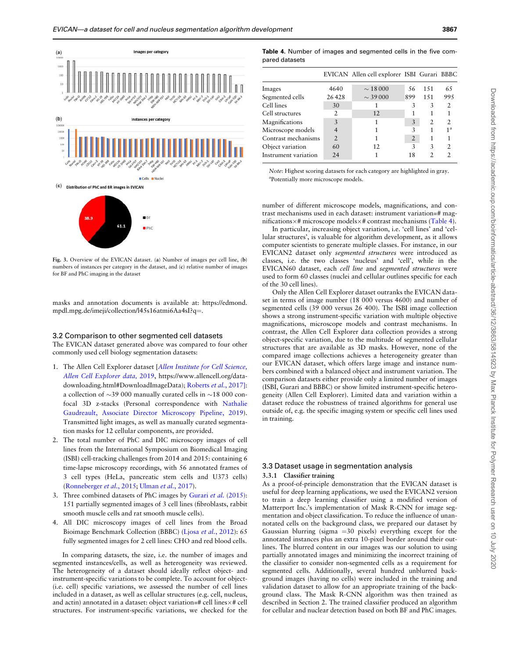<span id="page-4-0"></span>



Fig. 3. Overview of the EVICAN dataset. (a) Number of images per cell line, (b) numbers of instances per category in the dataset, and (c) relative number of images for BF and PhC imaging in the dataset

masks and annotation documents is available at: [https://edmond.](https://edmond.mpdl.mpg.de/imeji/collection/l45s16atmi6Aa4sI?q=) [mpdl.mpg.de/imeji/collection/l45s16atmi6Aa4sI?q](https://edmond.mpdl.mpg.de/imeji/collection/l45s16atmi6Aa4sI?q=)=.

#### 3.2 Comparison to other segmented cell datasets

The EVICAN dataset generated above was compared to four other commonly used cell biology segmentation datasets:

- 1. The Allen Cell Explorer dataset [[Allen Institute for Cell Science,](#page-6-0) [Allen Cell Explorer data,](#page-6-0) 2019, [https://www.allencell.org/data](http://www.allencell.org)[downloading.html#DownloadImageData\)](http://www.allencell.org); [Roberts](#page-7-0) et al., 2017]: a collection of  $\sim$ 39 000 manually curated cells in  $\sim$ 18 000 confocal 3D z-stacks (Personal correspondence with [Nathalie](#page-7-0) [Gaudreault, Associate Director Microscopy Pipeline, 2019](#page-7-0)). Transmitted light images, as well as manually curated segmentation masks for 12 cellular components, are provided.
- 2. The total number of PhC and DIC microscopy images of cell lines from the International Symposium on Biomedical Imaging (ISBI) cell-tracking challenges from 2014 and 2015: containing 6 time-lapse microscopy recordings, with 56 annotated frames of 3 cell types (HeLa, pancreatic stem cells and U373 cells) ([Ronneberger](#page-7-0) et al., 2015; [Ulman](#page-7-0) et al., 2017).
- 3. Three combined datasets of PhC images by [Gurari](#page-6-0) et al. (2015): 151 partially segmented images of 3 cell lines (fibroblasts, rabbit smooth muscle cells and rat smooth muscle cells).
- 4. All DIC microscopy images of cell lines from the Broad Bioimage Benchmark Collection (BBBC) (Ljosa et al.[, 2012](#page-7-0)): 65 fully segmented images for 2 cell lines: CHO and red blood cells.

In comparing datasets, the size, i.e. the number of images and segmented instances/cells, as well as heterogeneity was reviewed. The heterogeneity of a dataset should ideally reflect object- and instrument-specific variations to be complete. To account for object- (i.e. cell) specific variations, we assessed the number of cell lines included in a dataset, as well as cellular structures (e.g. cell, nucleus, and actin) annotated in a dataset: object variation=# cell lines $\times$ # cell structures. For instrument-specific variations, we checked for the

| <b>Table 4.</b> Number of images and segmented cells in the five com- |  |  |  |  |
|-----------------------------------------------------------------------|--|--|--|--|
| pared datasets                                                        |  |  |  |  |

|                      |                | EVICAN Allen cell explorer ISBI Gurari BBBC |     |      |                |
|----------------------|----------------|---------------------------------------------|-----|------|----------------|
| Images               | 4640           | $\sim$ 18 000                               | 56  | 1.51 | 65             |
| Segmented cells      | 26428          | $\sim$ 39 000                               | 899 | 151  | 995            |
| Cell lines           | 30             |                                             | 3   | 3    | $\overline{2}$ |
| Cell structures      | 2              | 12                                          |     |      |                |
| Magnifications       | 3              | 1                                           | 3   | 2    | $\mathfrak{D}$ |
| Microscope models    | $\overline{4}$ |                                             | 3   |      | 1 <sup>a</sup> |
| Contrast mechanisms  | $\overline{2}$ |                                             | 2   |      |                |
| Object variation     | 60             | 12                                          | 3   | 3    | $\mathcal{P}$  |
| Instrument variation | 24             |                                             | 18  | 2    |                |

Note: Highest scoring datasets for each category are highlighted in gray. a Potentially more microscope models.

number of different microscope models, magnifications, and contrast mechanisms used in each dataset: instrument variation=# magnifications $\times$ # microscope models $\times$ # contrast mechanisms (Table 4).

In particular, increasing object variation, i.e. 'cell lines' and 'cellular structures', is valuable for algorithm development, as it allows computer scientists to generate multiple classes. For instance, in our EVICAN2 dataset only segmented structures were introduced as classes, i.e. the two classes 'nucleus' and 'cell', while in the EVICAN60 dataset, each cell line and segmented structures were used to form 60 classes (nuclei and cellular outlines specific for each of the 30 cell lines).

Only the Allen Cell Explorer dataset outranks the EVICAN dataset in terms of image number (18 000 versus 4600) and number of segmented cells (39 000 versus 26 400). The ISBI image collection shows a strong instrument-specific variation with multiple objective magnifications, microscope models and contrast mechanisms. In contrast, the Allen Cell Explorer data collection provides a strong object-specific variation, due to the multitude of segmented cellular structures that are available as 3D masks. However, none of the compared image collections achieves a heterogeneity greater than our EVICAN dataset, which offers large image and instance numbers combined with a balanced object and instrument variation. The comparison datasets either provide only a limited number of images (ISBI, Gurari and BBBC) or show limited instrument-specific heterogeneity (Allen Cell Explorer). Limited data and variation within a dataset reduce the robustness of trained algorithms for general use outside of, e.g. the specific imaging system or specific cell lines used in training.

# 3.3 Dataset usage in segmentation analysis

# 3.3.1 Classifier training

As a proof-of-principle demonstration that the EVICAN dataset is useful for deep learning applications, we used the EVICAN2 version to train a deep learning classifier using a modified version of Matterport Inc.'s implementation of Mask R-CNN for image segmentation and object classification. To reduce the influence of unannotated cells on the background class, we prepared our dataset by Gaussian blurring (sigma  $=30$  pixels) everything except for the annotated instances plus an extra 10-pixel border around their outlines. The blurred content in our images was our solution to using partially annotated images and minimizing the incorrect training of the classifier to consider non-segmented cells as a requirement for segmented cells. Additionally, several hundred unblurred background images (having no cells) were included in the training and validation dataset to allow for an appropriate training of the background class. The Mask R-CNN algorithm was then trained as described in Section 2. The trained classifier produced an algorithm for cellular and nuclear detection based on both BF and PhC images.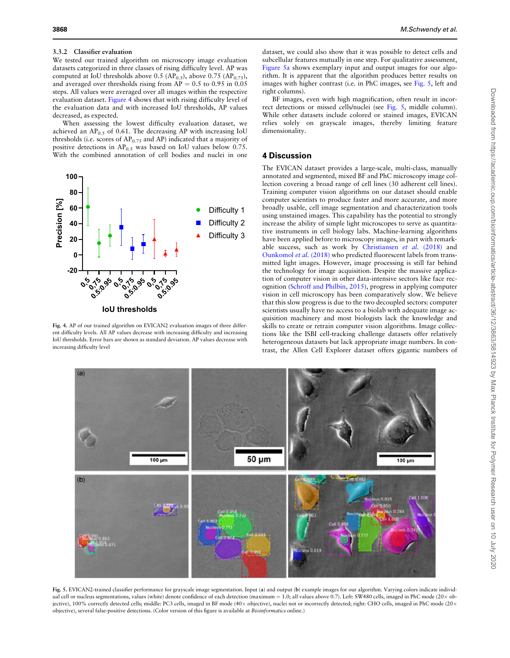#### 3.3.2 Classifier evaluation

We tested our trained algorithm on microscopy image evaluation datasets categorized in three classes of rising difficulty level. AP was computed at IoU thresholds above 0.5 (AP<sub>0.5</sub>), above 0.75 (AP<sub>0.75</sub>), and averaged over thresholds rising from  $AP = 0.5$  to 0.95 in 0.05 steps. All values were averaged over all images within the respective evaluation dataset. Figure 4 shows that with rising difficulty level of the evaluation data and with increased IoU thresholds, AP values decreased, as expected.

When assessing the lowest difficulty evaluation dataset, we achieved an  $AP_{0.5}$  of 0.61. The decreasing AP with increasing IoU thresholds (i.e. scores of  $AP<sub>0.75</sub>$  and AP) indicated that a majority of positive detections in  $AP_{0.5}$  was based on IoU values below 0.75. With the combined annotation of cell bodies and nuclei in one



Fig. 4. AP of our trained algorithm on EVICAN2 evaluation images of three different difficulty levels. All AP values decrease with increasing difficulty and increasing IoU thresholds. Error bars are shown as standard deviation. AP values decrease with increasing difficulty level

dataset, we could also show that it was possible to detect cells and subcellular features mutually in one step. For qualitative assessment, Figure 5a shows exemplary input and output images for our algorithm. It is apparent that the algorithm produces better results on images with higher contrast (i.e. in PhC images, see Fig. 5, left and right columns).

BF images, even with high magnification, often result in incorrect detections or missed cells/nuclei (see Fig. 5, middle column). While other datasets include colored or stained images, EVICAN relies solely on grayscale images, thereby limiting feature dimensionality.

# 4 Discussion

The EVICAN dataset provides a large-scale, multi-class, manually annotated and segmented, mixed BF and PhC microscopy image collection covering a broad range of cell lines (30 adherent cell lines). Training computer vision algorithms on our dataset should enable computer scientists to produce faster and more accurate, and more broadly usable, cell image segmentation and characterization tools using unstained images. This capability has the potential to strongly increase the ability of simple light microscopes to serve as quantitative instruments in cell biology labs. Machine-learning algorithms have been applied before to microscopy images, in part with remarkable success, such as work by [Christiansen](#page-6-0) et al. (2018) and [Ounkomol](#page-7-0) et al. (2018) who predicted fluorescent labels from transmitted light images. However, image processing is still far behind the technology for image acquisition. Despite the massive application of computer vision in other data-intensive sectors like face recognition ([Schroff and Philbin, 2015](#page-7-0)), progress in applying computer vision in cell microscopy has been comparatively slow. We believe that this slow progress is due to the two decoupled sectors: computer scientists usually have no access to a biolab with adequate image acquisition machinery and most biologists lack the knowledge and skills to create or retrain computer vision algorithms. Image collections like the ISBI cell-tracking challenge datasets offer relatively heterogeneous datasets but lack appropriate image numbers. In contrast, the Allen Cell Explorer dataset offers gigantic numbers of



Fig. 5. EVICAN2-trained classifier performance for grayscale image segmentation. Input (a) and output (b) example images for our algorithm. Varying colors indicate individual cell or nucleus segmentations, values (white) denote confidence of each detection (maximum = 1.0; all values above 0.7). Left: SW480 cells, imaged in PhC mode (20 x objective), 100% correctly detected cells; middle: PC3 cells, imaged in BF mode (40× objective), nuclei not or incorrectly detected; right: CHO cells, imaged in PhC mode (20× objective), several false-positive detections. (Color version of this figure is available at Bioinformatics online.)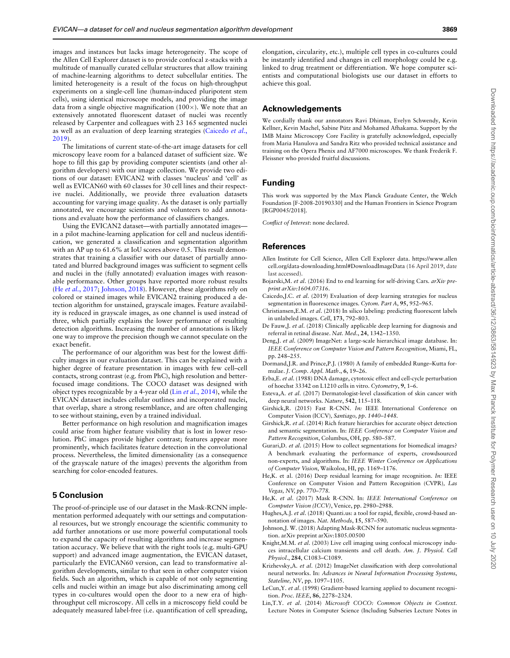<span id="page-6-0"></span>images and instances but lacks image heterogeneity. The scope of the Allen Cell Explorer dataset is to provide confocal z-stacks with a multitude of manually curated cellular structures that allow training of machine-learning algorithms to detect subcellular entities. The limited heterogeneity is a result of the focus on high-throughput experiments on a single-cell line (human-induced pluripotent stem cells), using identical microscope models, and providing the image data from a single objective magnification  $(100\times)$ . We note that an extensively annotated fluorescent dataset of nuclei was recently released by Carpenter and colleagues with 23 165 segmented nuclei as well as an evaluation of deep learning strategies (Caicedo et al., 2019).

The limitations of current state-of-the-art image datasets for cell microscopy leave room for a balanced dataset of sufficient size. We hope to fill this gap by providing computer scientists (and other algorithm developers) with our image collection. We provide two editions of our dataset: EVICAN2 with classes 'nucleus' and 'cell' as well as EVICAN60 with 60 classes for 30 cell lines and their respective nuclei. Additionally, we provide three evaluation datasets accounting for varying image quality. As the dataset is only partially annotated, we encourage scientists and volunteers to add annotations and evaluate how the performance of classifiers changes.

Using the EVICAN2 dataset—with partially annotated images in a pilot machine-learning application for cell and nucleus identification, we generated a classification and segmentation algorithm with an AP up to 61.6% at IoU scores above 0.5. This result demonstrates that training a classifier with our dataset of partially annotated and blurred background images was sufficient to segment cells and nuclei in the (fully annotated) evaluation images with reasonable performance. Other groups have reported more robust results (He et al., 2017; Johnson, 2018). However, these algorithms rely on colored or stained images while EVICAN2 training produced a detection algorithm for unstained, grayscale images. Feature availability is reduced in grayscale images, as one channel is used instead of three, which partially explains the lower performance of resulting detection algorithms. Increasing the number of annotations is likely one way to improve the precision though we cannot speculate on the exact benefit.

The performance of our algorithm was best for the lowest difficulty images in our evaluation dataset. This can be explained with a higher degree of feature presentation in images with few cell–cell contacts, strong contrast (e.g. from PhC), high resolution and betterfocused image conditions. The COCO dataset was designed with object types recognizable by a 4-year old (Lin et al., 2014), while the EVICAN dataset includes cellular outlines and incorporated nuclei, that overlap, share a strong resemblance, and are often challenging to see without staining, even by a trained individual.

Better performance on high resolution and magnification images could arise from higher feature visibility that is lost in lower resolution. PhC images provide higher contrast; features appear more prominently, which facilitates feature detection in the convolutional process. Nevertheless, the limited dimensionality (as a consequence of the grayscale nature of the images) prevents the algorithm from searching for color-encoded features.

# 5 Conclusion

The proof-of-principle use of our dataset in the Mask-RCNN implementation performed adequately with our settings and computational resources, but we strongly encourage the scientific community to add further annotations or use more powerful computational tools to expand the capacity of resulting algorithms and increase segmentation accuracy. We believe that with the right tools (e.g. multi-GPU support) and advanced image augmentation, the EVICAN dataset, particularly the EVICAN60 version, can lead to transformative algorithm developments, similar to that seen in other computer vision fields. Such an algorithm, which is capable of not only segmenting cells and nuclei within an image but also discriminating among cell types in co-cultures would open the door to a new era of highthroughput cell microscopy. All cells in a microscopy field could be adequately measured label-free (i.e. quantification of cell spreading,

elongation, circularity, etc.), multiple cell types in co-cultures could be instantly identified and changes in cell morphology could be e.g. linked to drug treatment or differentiation. We hope computer scientists and computational biologists use our dataset in efforts to achieve this goal.

#### Acknowledgements

We cordially thank our annotators Ravi Dhiman, Evelyn Schwendy, Kevin Kellner, Kevin Machel, Sabine Pütz and Mohamed Afhakama. Support by the IMB Mainz Microscopy Core Facility is gratefully acknowledged, especially from Maria Hanulova and Sandra Ritz who provided technical assistance and training on the Opera Phenix and AF7000 microscopes. We thank Frederik F. Fleissner who provided fruitful discussions.

## Funding

This work was supported by the Max Planck Graduate Center, the Welch Foundation [F-2008-20190330] and the Human Frontiers in Science Program [RGP0045/2018].

Conflict of Interest: none declared.

#### References

- Allen Institute for Cell Science, Allen Cell Explorer data. [https://www.allen](https://www.allencell.org/data-downloading.html#DownloadImageData) [cell.org/data-downloading.html#DownloadImageData](https://www.allencell.org/data-downloading.html#DownloadImageData) (16 April 2019, date last accessed).
- Bojarski,M. et al. (2016) End to end learning for self-driving Cars. arXiv preprint arXiv:1604.07316.
- Caicedo,J.C. et al. (2019) Evaluation of deep learning strategies for nucleus segmentation in fluorescence images. Cytom. Part A, 95, 952–965.
- Christiansen,E.M. et al. (2018) In silico labeling: predicting fluorescent labels in unlabeled images. Cell, 173, 792–803.
- De Fauw,J. et al. (2018) Clinically applicable deep learning for diagnosis and referral in retinal disease. Nat. Med., 24, 1342–1350.
- Deng,J. et al. (2009) ImageNet: a large-scale hierarchical image database. In: IEEE Conference on Computer Vision and Pattern Recognition, Miami, FL, pp. 248–255.
- Dormand,J.R. and Prince,P.J. (1980) A family of embedded Runge–Kutta formulae. J. Comp. Appl. Math., 6, 19–26.
- Erba,E. et al. (1988) DNA damage, cytotoxic effect and cell-cycle perturbation of hoechst 33342 on L1210 cells in vitro. Cytometry, 9, 1–6.
- Esteva,A. et al. (2017) Dermatologist-level classification of skin cancer with deep neural networks. Nature, 542, 115–118.
- Girshick,R. (2015) Fast R-CNN. In: IEEE International Conference on Computer Vision (ICCV), Santiago, pp. 1440–1448.
- Girshick,R. et al. (2014) Rich feature hierarchies for accurate object detection and semantic segmentation. In: IEEE Conference on Computer Vision and Pattern Recognition, Columbus, OH, pp. 580–587.
- Gurari, D. et al. (2015) How to collect segmentations for biomedical images? A benchmark evaluating the performance of experts, crowdsourced non-experts, and algorithms. In: IEEE Winter Conference on Applications of Computer Vision, Waikoloa, HI, pp. 1169–1176.
- He,K. et al. (2016) Deep residual learning for image recognition. In: IEEE Conference on Computer Vision and Pattern Recognition (CVPR), Las Vegas, NV, pp. 770–778.
- He,K. et al. (2017) Mask R-CNN. In: IEEE International Conference on Computer Vision (ICCV), Venice, pp. 2980–2988.
- Hughes,A.J. et al. (2018) Quanti.us: a tool for rapid, flexible, crowd-based annotation of images. Nat. Methods, 15, 587–590.
- Johnson,J. W. (2018) Adapting Mask-RCNN for automatic nucleus segmentation. arXiv preprint arXiv:1805.00500
- Knight, M.M. et al. (2003) Live cell imaging using confocal microscopy induces intracellular calcium transients and cell death. Am. J. Physiol. Cell Physiol., 284, C1083–C1089.
- Krizhevsky,A. et al. (2012) ImageNet classification with deep convolutional neural networks. In: Advances in Neural Information Processing Systems, Stateline, NV, pp. 1097–1105.
- LeCun,Y. et al. (1998) Gradient-based learning applied to document recognition. Proc. IEEE, 86, 2278–2324.
- Lin,T.Y. et al. (2014) Microsoft COCO: Common Objects in Context. Lecture Notes in Computer Science (Including Subseries Lecture Notes in